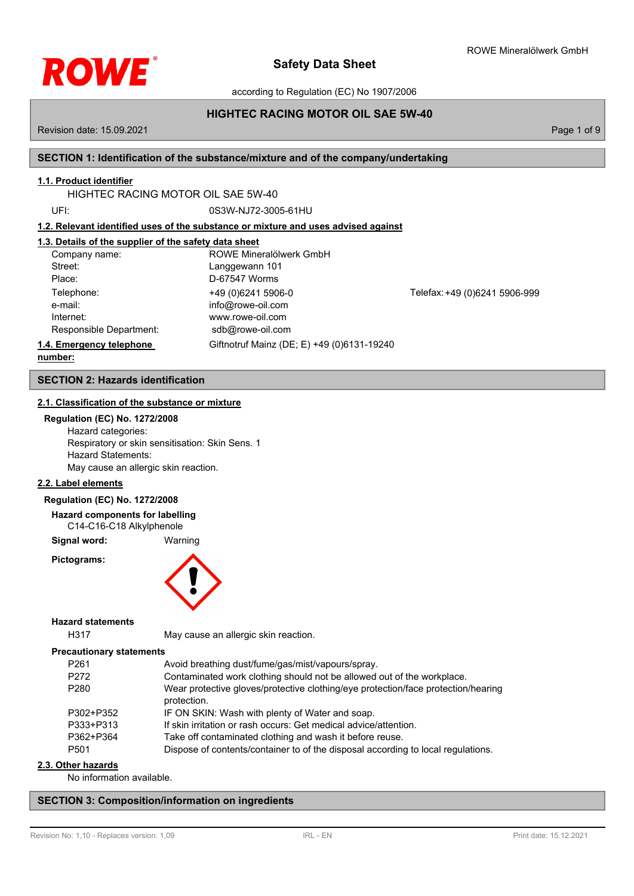

according to Regulation (EC) No 1907/2006

# **HIGHTEC RACING MOTOR OIL SAE 5W-40**

Revision date: 15.09.2021 Page 1 of 9

# **SECTION 1: Identification of the substance/mixture and of the company/undertaking**

# **1.1. Product identifier**

HIGHTEC RACING MOTOR OIL SAE 5W-40

UFI: 0S3W-NJ72-3005-61HU

**1.2. Relevant identified uses of the substance or mixture and uses advised against**

# **1.3. Details of the supplier of the safety data sheet**

| Company name:            | ROWE Mineralölwerk GmbH                    |                               |
|--------------------------|--------------------------------------------|-------------------------------|
| Street:                  | Langgewann 101                             |                               |
| Place:                   | D-67547 Worms                              |                               |
| Telephone:               | +49 (0)6241 5906-0                         | Telefax: +49 (0)6241 5906-999 |
| e-mail:                  | info@rowe-oil.com                          |                               |
| Internet:                | www.rowe-oil.com                           |                               |
| Responsible Department:  | sdb@rowe-oil.com                           |                               |
| 1.4. Emergency telephone | Giftnotruf Mainz (DE; E) +49 (0)6131-19240 |                               |
| numher:                  |                                            |                               |

**number:**

**SECTION 2: Hazards identification**

## **2.1. Classification of the substance or mixture**

**Regulation (EC) No. 1272/2008** Hazard categories: Respiratory or skin sensitisation: Skin Sens. 1 Hazard Statements:

May cause an allergic skin reaction.

#### **2.2. Label elements**

#### **Regulation (EC) No. 1272/2008**

**Hazard components for labelling** C14-C16-C18 Alkylphenole

**Signal word:** Warning

**Pictograms:**



**Hazard statements**

H317 May cause an allergic skin reaction.

#### **Precautionary statements**

| P <sub>261</sub> | Avoid breathing dust/fume/gas/mist/vapours/spray.                                                |
|------------------|--------------------------------------------------------------------------------------------------|
| P272             | Contaminated work clothing should not be allowed out of the workplace.                           |
| P280             | Wear protective gloves/protective clothing/eye protection/face protection/hearing<br>protection. |
| P302+P352        | IF ON SKIN: Wash with plenty of Water and soap.                                                  |
| P333+P313        | If skin irritation or rash occurs: Get medical advice/attention.                                 |
| P362+P364        | Take off contaminated clothing and wash it before reuse.                                         |
| P <sub>501</sub> | Dispose of contents/container to of the disposal according to local regulations.                 |

## **2.3. Other hazards**

No information available.

## **SECTION 3: Composition/information on ingredients**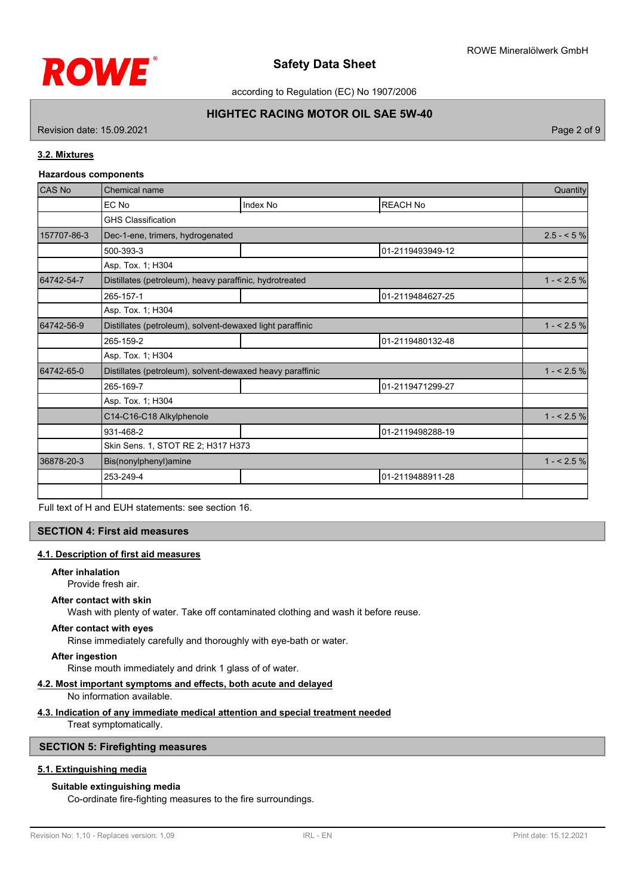

according to Regulation (EC) No 1907/2006

# **HIGHTEC RACING MOTOR OIL SAE 5W-40**

Revision date: 15.09.2021 Page 2 of 9

## **3.2. Mixtures**

#### **Hazardous components**

| CAS No      | Chemical name                                             |          |                  |             |
|-------------|-----------------------------------------------------------|----------|------------------|-------------|
|             | EC No                                                     | Index No | <b>REACH No</b>  |             |
|             | <b>GHS Classification</b>                                 |          |                  |             |
| 157707-86-3 | Dec-1-ene, trimers, hydrogenated                          |          |                  | $2.5 - 5\%$ |
|             | 500-393-3                                                 |          | 01-2119493949-12 |             |
|             | Asp. Tox. 1; H304                                         |          |                  |             |
| 64742-54-7  | Distillates (petroleum), heavy paraffinic, hydrotreated   |          |                  | $1 - 2.5%$  |
|             | 265-157-1                                                 |          | 01-2119484627-25 |             |
|             | Asp. Tox. 1; H304                                         |          |                  |             |
| 64742-56-9  | Distillates (petroleum), solvent-dewaxed light paraffinic |          | $1 - 2.5%$       |             |
|             | 265-159-2                                                 |          | 01-2119480132-48 |             |
|             | Asp. Tox. 1; H304                                         |          |                  |             |
| 64742-65-0  | Distillates (petroleum), solvent-dewaxed heavy paraffinic |          | $1 - 2.5%$       |             |
|             | 265-169-7                                                 |          | 01-2119471299-27 |             |
|             | Asp. Tox. 1; H304                                         |          |                  |             |
|             | C14-C16-C18 Alkylphenole                                  |          |                  | $1 - 2.5%$  |
|             | 931-468-2                                                 |          | 01-2119498288-19 |             |
|             | Skin Sens. 1, STOT RE 2; H317 H373                        |          |                  |             |
| 36878-20-3  | Bis(nonylphenyl)amine                                     |          | $1 - 2.5%$       |             |
|             | 253-249-4                                                 |          | 01-2119488911-28 |             |
|             |                                                           |          |                  |             |

Full text of H and EUH statements: see section 16.

### **SECTION 4: First aid measures**

## **4.1. Description of first aid measures**

#### **After inhalation**

Provide fresh air.

### **After contact with skin**

Wash with plenty of water. Take off contaminated clothing and wash it before reuse.

#### **After contact with eyes**

Rinse immediately carefully and thoroughly with eye-bath or water.

#### **After ingestion**

Rinse mouth immediately and drink 1 glass of of water.

## **4.2. Most important symptoms and effects, both acute and delayed**

No information available.

## **4.3. Indication of any immediate medical attention and special treatment needed**

Treat symptomatically.

## **SECTION 5: Firefighting measures**

## **5.1. Extinguishing media**

## **Suitable extinguishing media**

Co-ordinate fire-fighting measures to the fire surroundings.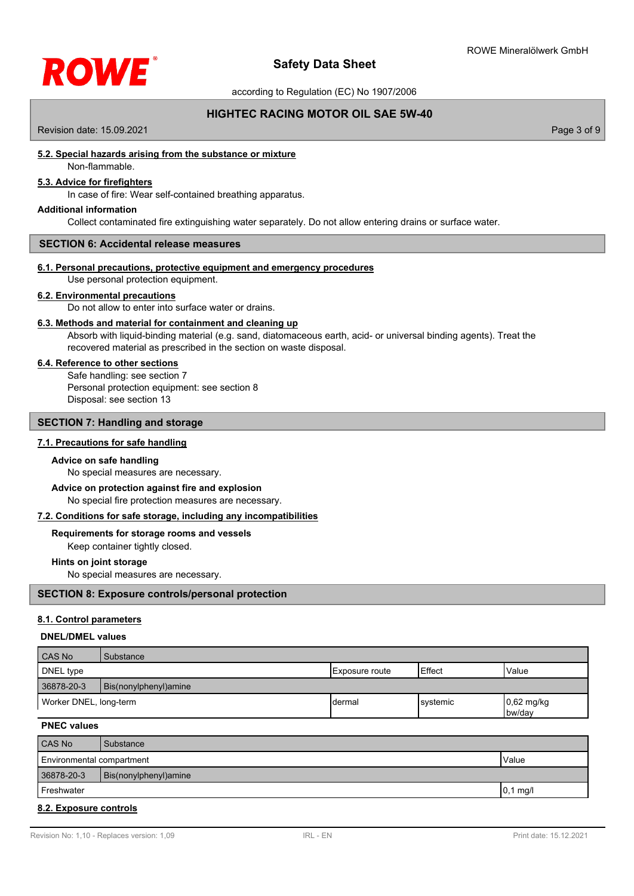

according to Regulation (EC) No 1907/2006

# **HIGHTEC RACING MOTOR OIL SAE 5W-40**

Revision date: 15.09.2021 Page 3 of 9

## **5.2. Special hazards arising from the substance or mixture**

# Non-flammable.

# **5.3. Advice for firefighters**

In case of fire: Wear self-contained breathing apparatus.

#### **Additional information**

Collect contaminated fire extinguishing water separately. Do not allow entering drains or surface water.

### **SECTION 6: Accidental release measures**

#### **6.1. Personal precautions, protective equipment and emergency procedures**

Use personal protection equipment.

#### **6.2. Environmental precautions**

Do not allow to enter into surface water or drains.

## **6.3. Methods and material for containment and cleaning up**

Absorb with liquid-binding material (e.g. sand, diatomaceous earth, acid- or universal binding agents). Treat the recovered material as prescribed in the section on waste disposal.

#### **6.4. Reference to other sections**

Safe handling: see section 7 Personal protection equipment: see section 8 Disposal: see section 13

### **SECTION 7: Handling and storage**

#### **7.1. Precautions for safe handling**

#### **Advice on safe handling**

No special measures are necessary.

# **Advice on protection against fire and explosion**

No special fire protection measures are necessary.

## **7.2. Conditions for safe storage, including any incompatibilities**

#### **Requirements for storage rooms and vessels**

Keep container tightly closed.

## **Hints on joint storage**

No special measures are necessary.

## **SECTION 8: Exposure controls/personal protection**

#### **8.1. Control parameters**

### **DNEL/DMEL values**

| CAS No                 | Substance              |                |                |                                     |
|------------------------|------------------------|----------------|----------------|-------------------------------------|
| DNEL type              |                        | Exposure route | <b>IEffect</b> | Value                               |
| 36878-20-3             | Bis(nonylphenyl) amine |                |                |                                     |
| Worker DNEL, long-term |                        | Idermal        | Isvstemic      | $\left 0,62\right $ mg/kg<br>bw/day |

**PNEC values**

| CAS No                    | Substance              |           |
|---------------------------|------------------------|-----------|
| Environmental compartment |                        | Value     |
| 36878-20-3                | Bis(nonylphenyl) amine |           |
| Freshwater                |                        | $0.1$ mg/ |
|                           |                        |           |

#### **8.2. Exposure controls**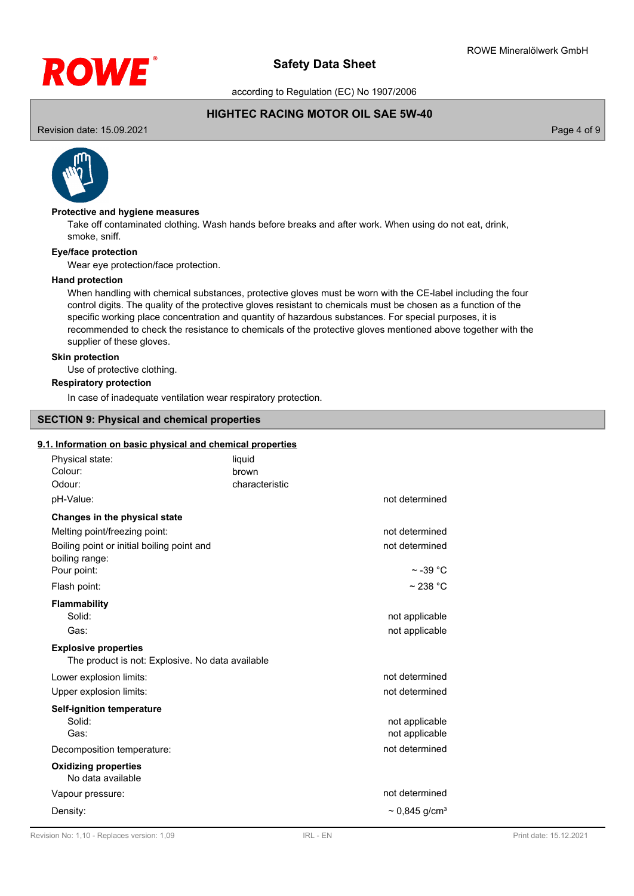

according to Regulation (EC) No 1907/2006

## **HIGHTEC RACING MOTOR OIL SAE 5W-40**

Revision date: 15.09.2021 Page 4 of 9



## **Protective and hygiene measures**

Take off contaminated clothing. Wash hands before breaks and after work. When using do not eat, drink, smoke, sniff.

#### **Eye/face protection**

Wear eye protection/face protection.

#### **Hand protection**

When handling with chemical substances, protective gloves must be worn with the CE-label including the four control digits. The quality of the protective gloves resistant to chemicals must be chosen as a function of the specific working place concentration and quantity of hazardous substances. For special purposes, it is recommended to check the resistance to chemicals of the protective gloves mentioned above together with the supplier of these gloves.

#### **Skin protection**

Use of protective clothing.

#### **Respiratory protection**

In case of inadequate ventilation wear respiratory protection.

## **SECTION 9: Physical and chemical properties**

#### **9.1. Information on basic physical and chemical properties**

| Physical state:<br>Colour:<br>Odour:                                                                                           | liquid<br>brown<br>characteristic |                                  |
|--------------------------------------------------------------------------------------------------------------------------------|-----------------------------------|----------------------------------|
| pH-Value:                                                                                                                      |                                   | not determined                   |
| Changes in the physical state<br>Melting point/freezing point:<br>Boiling point or initial boiling point and<br>boiling range: |                                   | not determined<br>not determined |
| Pour point:                                                                                                                    |                                   | $\sim$ -39 °C                    |
| Flash point:                                                                                                                   |                                   | $\sim$ 238 °C                    |
| Flammability<br>Solid:<br>Gas:                                                                                                 |                                   | not applicable<br>not applicable |
| <b>Explosive properties</b><br>The product is not: Explosive. No data available                                                |                                   |                                  |
| Lower explosion limits:<br>Upper explosion limits:                                                                             |                                   | not determined<br>not determined |
| <b>Self-ignition temperature</b><br>Solid:<br>Gas:                                                                             |                                   | not applicable<br>not applicable |
| Decomposition temperature:                                                                                                     |                                   | not determined                   |
| <b>Oxidizing properties</b><br>No data available                                                                               |                                   |                                  |
| Vapour pressure:                                                                                                               |                                   | not determined                   |
| Density:                                                                                                                       |                                   | $\sim 0.845$ g/cm <sup>3</sup>   |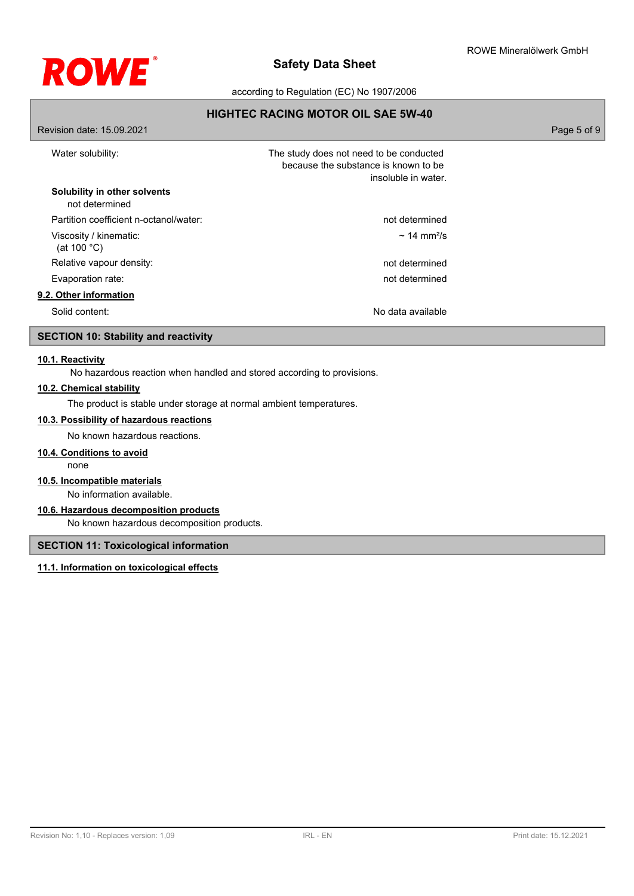

according to Regulation (EC) No 1907/2006

## **HIGHTEC RACING MOTOR OIL SAE 5W-40**

| Revision date: 15.09.2021                       |                                                                                                        | Page 5 of 9 |
|-------------------------------------------------|--------------------------------------------------------------------------------------------------------|-------------|
| Water solubility:                               | The study does not need to be conducted<br>because the substance is known to be<br>insoluble in water. |             |
| Solubility in other solvents<br>not determined  |                                                                                                        |             |
| Partition coefficient n-octanol/water:          | not determined                                                                                         |             |
| Viscosity / kinematic:<br>(at 100 $^{\circ}$ C) | $\sim$ 14 mm <sup>2</sup> /s                                                                           |             |
| Relative vapour density:                        | not determined                                                                                         |             |
| Evaporation rate:                               | not determined                                                                                         |             |
| 9.2. Other information                          |                                                                                                        |             |
| Solid content:                                  | No data available                                                                                      |             |

# **SECTION 10: Stability and reactivity**

#### **10.1. Reactivity**

No hazardous reaction when handled and stored according to provisions.

## **10.2. Chemical stability**

The product is stable under storage at normal ambient temperatures.

# **10.3. Possibility of hazardous reactions**

No known hazardous reactions.

## **10.4. Conditions to avoid**

none

## **10.5. Incompatible materials**

No information available.

## **10.6. Hazardous decomposition products**

No known hazardous decomposition products.

## **SECTION 11: Toxicological information**

## **11.1. Information on toxicological effects**

Revision No: 1,10 - Replaces version: 1,09 IRL - EN Print date: 15.12.2021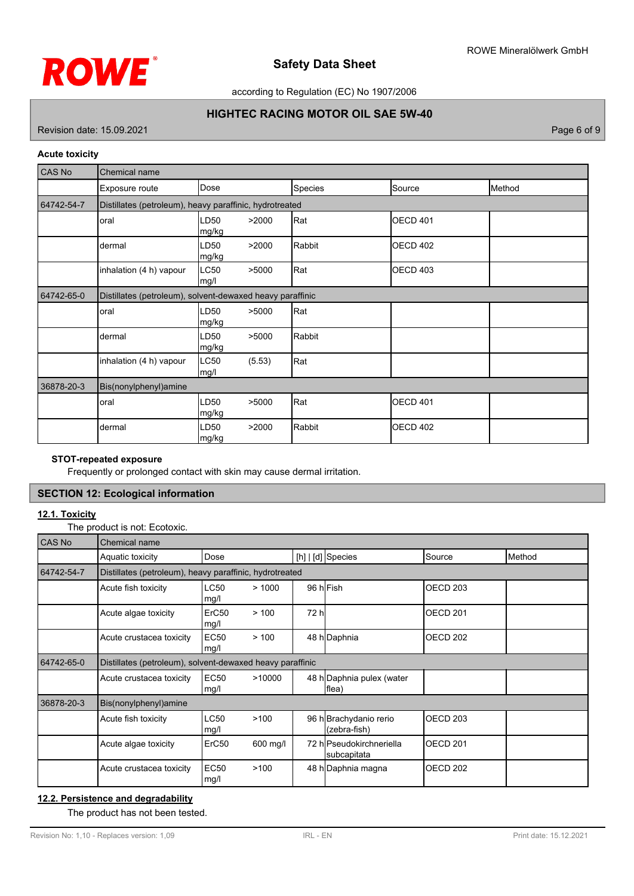

according to Regulation (EC) No 1907/2006

# **HIGHTEC RACING MOTOR OIL SAE 5W-40**

Revision date: 15.09.2021 **Page 6 of 9** 

### **Acute toxicity**

| <b>CAS No</b> | Chemical name                                             |                |        |         |                 |        |
|---------------|-----------------------------------------------------------|----------------|--------|---------|-----------------|--------|
|               | Exposure route                                            | Dose           |        | Species | Source          | Method |
| 64742-54-7    | Distillates (petroleum), heavy paraffinic, hydrotreated   |                |        |         |                 |        |
|               | oral                                                      | LD50<br> mg/kg | >2000  | Rat     | <b>OECD 401</b> |        |
|               | dermal                                                    | LD50<br>mg/kg  | >2000  | Rabbit  | <b>OECD 402</b> |        |
|               | inhalation (4 h) vapour                                   | LC50<br>mg/l   | >5000  | Rat     | <b>OECD 403</b> |        |
| 64742-65-0    | Distillates (petroleum), solvent-dewaxed heavy paraffinic |                |        |         |                 |        |
|               | oral                                                      | LD50<br>mg/kg  | >5000  | Rat     |                 |        |
|               | dermal                                                    | LD50<br>mg/kg  | >5000  | Rabbit  |                 |        |
|               | inhalation (4 h) vapour                                   | LC50<br>mg/l   | (5.53) | Rat     |                 |        |
| 36878-20-3    | Bis(nonylphenyl)amine                                     |                |        |         |                 |        |
|               | oral                                                      | LD50<br>mg/kg  | >5000  | Rat     | <b>OECD 401</b> |        |
|               | dermal                                                    | LD50<br>mg/kg  | >2000  | Rabbit  | <b>OECD 402</b> |        |

## **STOT-repeated exposure**

Frequently or prolonged contact with skin may cause dermal irritation.

## **SECTION 12: Ecological information**

## **12.1. Toxicity**

The product is not: Ecotoxic.

| CAS No     | Chemical name                                             |                           |          |       |                                         |                   |        |
|------------|-----------------------------------------------------------|---------------------------|----------|-------|-----------------------------------------|-------------------|--------|
|            | Aquatic toxicity                                          | Dose                      |          |       | [h]   [d] Species                       | Source            | Method |
| 64742-54-7 | Distillates (petroleum), heavy paraffinic, hydrotreated   |                           |          |       |                                         |                   |        |
|            | Acute fish toxicity                                       | <b>LC50</b><br>mg/l       | >1000    |       | 96 hlFish                               | OECD 203          |        |
|            | Acute algae toxicity                                      | ErC <sub>50</sub><br>mg/l | > 100    | 72 hl |                                         | <b>I</b> OECD 201 |        |
|            | Acute crustacea toxicity                                  | <b>EC50</b><br>mg/l       | > 100    |       | 48 h Daphnia                            | IOECD 202         |        |
| 64742-65-0 | Distillates (petroleum), solvent-dewaxed heavy paraffinic |                           |          |       |                                         |                   |        |
|            | Acute crustacea toxicity                                  | <b>EC50</b><br>mg/l       | >10000   |       | 48 h Daphnia pulex (water<br>flea)      |                   |        |
| 36878-20-3 | Bis(nonylphenyl)amine                                     |                           |          |       |                                         |                   |        |
|            | Acute fish toxicity                                       | <b>LC50</b><br>mg/l       | >100     |       | 96 h Brachydanio rerio<br>(zebra-fish)  | <b>I</b> OECD 203 |        |
|            | Acute algae toxicity                                      | ErC50                     | 600 mg/l |       | 72 hlPseudokirchneriella<br>subcapitata | <b>I</b> OECD 201 |        |
|            | Acute crustacea toxicity                                  | <b>EC50</b><br>mg/l       | >100     |       | 48 h Daphnia magna                      | IOECD 202         |        |

# **12.2. Persistence and degradability**

The product has not been tested.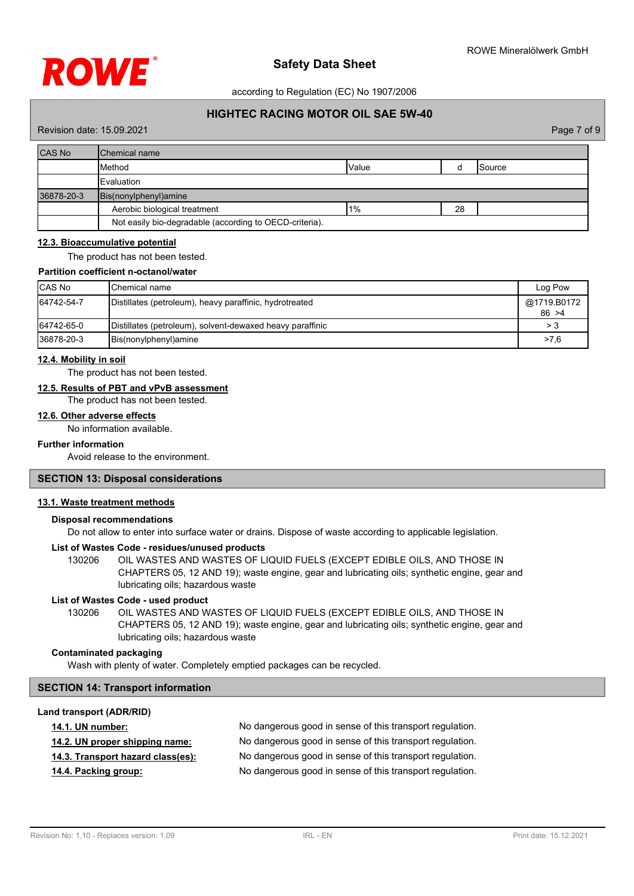

according to Regulation (EC) No 1907/2006

## **HIGHTEC RACING MOTOR OIL SAE 5W-40**

#### Revision date: 15.09.2021 Page 7 of 9

| <b>CAS No</b> | <b>I</b> Chemical name                                  |        |    |         |
|---------------|---------------------------------------------------------|--------|----|---------|
|               | Method                                                  | Value  |    | ISource |
|               | <b>IEvaluation</b>                                      |        |    |         |
| 36878-20-3    | Bis(nonylphenyl)amine                                   |        |    |         |
|               | Aerobic biological treatment                            | $11\%$ | 28 |         |
|               | Not easily bio-degradable (according to OECD-criteria). |        |    |         |

#### **12.3. Bioaccumulative potential**

The product has not been tested.

#### **Partition coefficient n-octanol/water**

| <b>CAS No</b> | IChemical name                                            | Log Pow               |
|---------------|-----------------------------------------------------------|-----------------------|
| 64742-54-7    | Distillates (petroleum), heavy paraffinic, hydrotreated   | @1719.B0172<br>86 > 4 |
| 64742-65-0    | Distillates (petroleum), solvent-dewaxed heavy paraffinic | > 3                   |
| 36878-20-3    | Bis(nonylphenyl) amine                                    | >7.6                  |

#### **12.4. Mobility in soil**

The product has not been tested.

## **12.5. Results of PBT and vPvB assessment**

The product has not been tested.

## **12.6. Other adverse effects**

No information available.

# **Further information**

Avoid release to the environment.

## **SECTION 13: Disposal considerations**

## **13.1. Waste treatment methods**

## **Disposal recommendations**

Do not allow to enter into surface water or drains. Dispose of waste according to applicable legislation.

#### **List of Wastes Code - residues/unused products**

130206 OIL WASTES AND WASTES OF LIQUID FUELS (EXCEPT EDIBLE OILS, AND THOSE IN CHAPTERS 05, 12 AND 19); waste engine, gear and lubricating oils; synthetic engine, gear and lubricating oils; hazardous waste

#### **List of Wastes Code - used product**

OIL WASTES AND WASTES OF LIQUID FUELS (EXCEPT EDIBLE OILS, AND THOSE IN CHAPTERS 05, 12 AND 19); waste engine, gear and lubricating oils; synthetic engine, gear and lubricating oils; hazardous waste 130206

## **Contaminated packaging**

Wash with plenty of water. Completely emptied packages can be recycled.

## **SECTION 14: Transport information**

#### **Land transport (ADR/RID)**

| <b>14.1. UN number:</b>           | No dangerous good in sense of this transport regulation. |
|-----------------------------------|----------------------------------------------------------|
| 14.2. UN proper shipping name:    | No dangerous good in sense of this transport regulation. |
| 14.3. Transport hazard class(es): | No dangerous good in sense of this transport regulation. |
| 14.4. Packing group:              | No dangerous good in sense of this transport regulation. |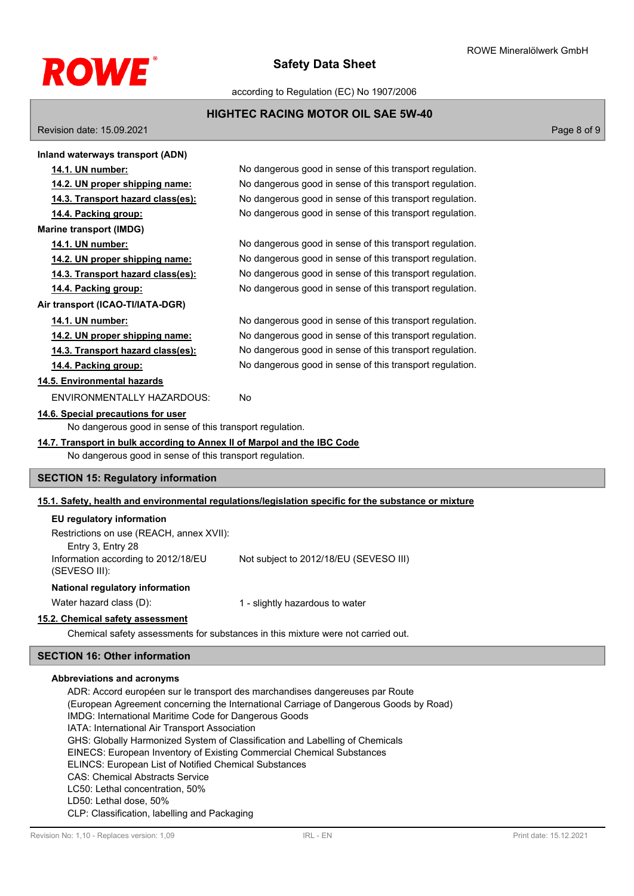

according to Regulation (EC) No 1907/2006

## **HIGHTEC RACING MOTOR OIL SAE 5W-40**

Revision date: 15.09.2021 Page 8 of 9

| Inland waterways transport (ADN)                                                                    |                                                          |  |  |  |
|-----------------------------------------------------------------------------------------------------|----------------------------------------------------------|--|--|--|
| 14.1. UN number:                                                                                    | No dangerous good in sense of this transport regulation. |  |  |  |
| 14.2. UN proper shipping name:                                                                      | No dangerous good in sense of this transport regulation. |  |  |  |
| 14.3. Transport hazard class(es):                                                                   | No dangerous good in sense of this transport regulation. |  |  |  |
| 14.4. Packing group:                                                                                | No dangerous good in sense of this transport regulation. |  |  |  |
| <b>Marine transport (IMDG)</b>                                                                      |                                                          |  |  |  |
| 14.1. UN number:                                                                                    | No dangerous good in sense of this transport regulation. |  |  |  |
| 14.2. UN proper shipping name:                                                                      | No dangerous good in sense of this transport regulation. |  |  |  |
| 14.3. Transport hazard class(es):                                                                   | No dangerous good in sense of this transport regulation. |  |  |  |
| 14.4. Packing group:                                                                                | No dangerous good in sense of this transport regulation. |  |  |  |
| Air transport (ICAO-TI/IATA-DGR)                                                                    |                                                          |  |  |  |
| 14.1. UN number:                                                                                    | No dangerous good in sense of this transport regulation. |  |  |  |
| 14.2. UN proper shipping name:                                                                      | No dangerous good in sense of this transport regulation. |  |  |  |
| 14.3. Transport hazard class(es):                                                                   | No dangerous good in sense of this transport regulation. |  |  |  |
| 14.4. Packing group:                                                                                | No dangerous good in sense of this transport regulation. |  |  |  |
| 14.5. Environmental hazards                                                                         |                                                          |  |  |  |
| ENVIRONMENTALLY HAZARDOUS:                                                                          | <b>No</b>                                                |  |  |  |
| 14.6. Special precautions for user                                                                  |                                                          |  |  |  |
| No dangerous good in sense of this transport regulation.                                            |                                                          |  |  |  |
| 14.7. Transport in bulk according to Annex II of Marpol and the IBC Code                            |                                                          |  |  |  |
| No dangerous good in sense of this transport regulation.                                            |                                                          |  |  |  |
| <b>SECTION 15: Regulatory information</b>                                                           |                                                          |  |  |  |
| 15.1. Safety, bealth and environmental requisions/legislation specific for the substance or mixture |                                                          |  |  |  |

## **15.1. Safety, health and environmental regulations/legislation specific for the substance or mixture**

| Restrictions on use (REACH, annex XVII):<br>Entry 3, Entry 28 |                                        |
|---------------------------------------------------------------|----------------------------------------|
|                                                               |                                        |
|                                                               |                                        |
| Information according to 2012/18/EU<br>(SEVESO III):          | Not subject to 2012/18/EU (SEVESO III) |
| National regulatory information                               |                                        |

Water hazard class (D): 1 - slightly hazardous to water

# **15.2. Chemical safety assessment**

Chemical safety assessments for substances in this mixture were not carried out.

## **SECTION 16: Other information**

## **Abbreviations and acronyms**

ADR: Accord européen sur le transport des marchandises dangereuses par Route (European Agreement concerning the International Carriage of Dangerous Goods by Road) IMDG: International Maritime Code for Dangerous Goods IATA: International Air Transport Association GHS: Globally Harmonized System of Classification and Labelling of Chemicals EINECS: European Inventory of Existing Commercial Chemical Substances ELINCS: European List of Notified Chemical Substances CAS: Chemical Abstracts Service LC50: Lethal concentration, 50% LD50: Lethal dose, 50% CLP: Classification, labelling and Packaging